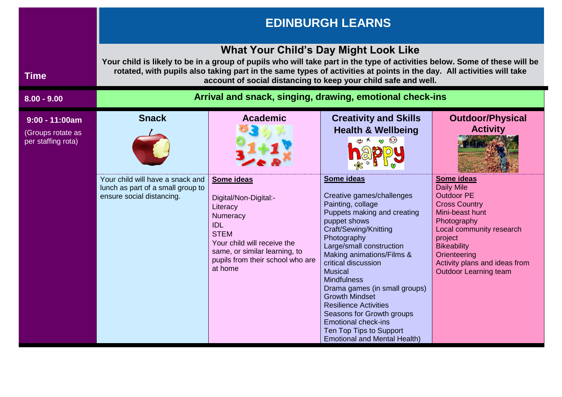|                                                             | <b>EDINBURGH LEARNS</b>                                                                                                                                                                                                                                                                                                                                             |                                                                                                                                                                                                         |                                                                                                                                                                                                                                                                                                                                                                                                                                                                                                    |                                                                                                                                                                                                                                                              |  |
|-------------------------------------------------------------|---------------------------------------------------------------------------------------------------------------------------------------------------------------------------------------------------------------------------------------------------------------------------------------------------------------------------------------------------------------------|---------------------------------------------------------------------------------------------------------------------------------------------------------------------------------------------------------|----------------------------------------------------------------------------------------------------------------------------------------------------------------------------------------------------------------------------------------------------------------------------------------------------------------------------------------------------------------------------------------------------------------------------------------------------------------------------------------------------|--------------------------------------------------------------------------------------------------------------------------------------------------------------------------------------------------------------------------------------------------------------|--|
| <b>Time</b>                                                 | <b>What Your Child's Day Might Look Like</b><br>Your child is likely to be in a group of pupils who will take part in the type of activities below. Some of these will be<br>rotated, with pupils also taking part in the same types of activities at points in the day. All activities will take<br>account of social distancing to keep your child safe and well. |                                                                                                                                                                                                         |                                                                                                                                                                                                                                                                                                                                                                                                                                                                                                    |                                                                                                                                                                                                                                                              |  |
| $8.00 - 9.00$                                               | Arrival and snack, singing, drawing, emotional check-ins                                                                                                                                                                                                                                                                                                            |                                                                                                                                                                                                         |                                                                                                                                                                                                                                                                                                                                                                                                                                                                                                    |                                                                                                                                                                                                                                                              |  |
| $9:00 - 11:00am$<br>(Groups rotate as<br>per staffing rota) | <b>Snack</b>                                                                                                                                                                                                                                                                                                                                                        | <b>Academic</b>                                                                                                                                                                                         | <b>Creativity and Skills</b><br><b>Health &amp; Wellbeing</b>                                                                                                                                                                                                                                                                                                                                                                                                                                      | <b>Outdoor/Physical</b><br><b>Activity</b>                                                                                                                                                                                                                   |  |
|                                                             | Your child will have a snack and<br>lunch as part of a small group to<br>ensure social distancing.                                                                                                                                                                                                                                                                  | Some ideas<br>Digital/Non-Digital:-<br>Literacy<br>Numeracy<br><b>IDL</b><br><b>STEM</b><br>Your child will receive the<br>same, or similar learning, to<br>pupils from their school who are<br>at home | Some ideas<br>Creative games/challenges<br>Painting, collage<br>Puppets making and creating<br>puppet shows<br>Craft/Sewing/Knitting<br>Photography<br>Large/small construction<br>Making animations/Films &<br>critical discussion<br><b>Musical</b><br><b>Mindfulness</b><br>Drama games (in small groups)<br><b>Growth Mindset</b><br><b>Resilience Activities</b><br>Seasons for Growth groups<br><b>Emotional check-ins</b><br>Ten Top Tips to Support<br><b>Emotional and Mental Health)</b> | Some ideas<br><b>Daily Mile</b><br><b>Outdoor PE</b><br><b>Cross Country</b><br>Mini-beast hunt<br>Photography<br>Local community research<br>project<br><b>Bikeability</b><br>Orienteering<br>Activity plans and ideas from<br><b>Outdoor Learning team</b> |  |